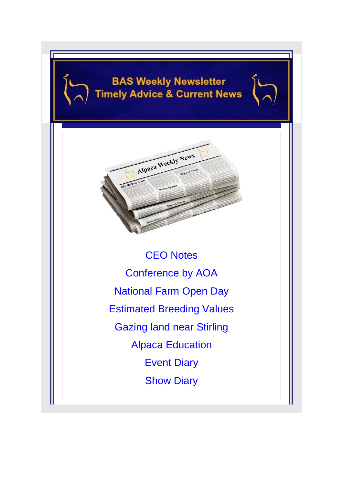# **BAS Weekly Newsletter Timely Advice & Current News**



CEO Notes Conference by AOA National Farm Open Day Estimated Breeding Values Gazing land near Stirling Alpaca Education Event Diary **Show Diary**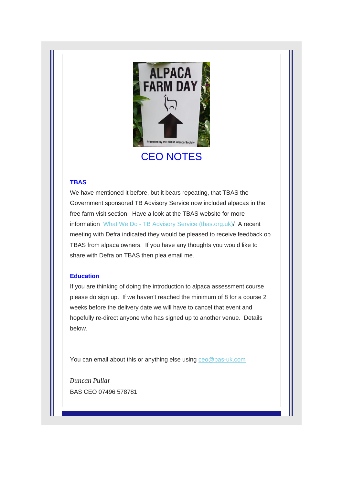

# CEO NOTES

### **TBAS**

We have mentioned it before, but it bears repeating, that TBAS the Government sponsored TB Advisory Service now included alpacas in the free farm visit section. Have a look at the TBAS website for more information What We Do - [TB Advisory Service \(tbas.org.uk\)/](https://www.tbas.org.uk/what-we-do-copy/) A recent meeting with Defra indicated they would be pleased to receive feedback ob TBAS from alpaca owners. If you have any thoughts you would like to share with Defra on TBAS then plea email me.

### **Education**

If you are thinking of doing the introduction to alpaca assessment course please do sign up. If we haven't reached the minimum of 8 for a course 2 weeks before the delivery date we will have to cancel that event and hopefully re-direct anyone who has signed up to another venue. Details below.

You can email about this or anything else using [ceo@bas-uk.com](mailto:ceo@bas-uk.com)

*Duncan Pullar* BAS CEO 07496 578781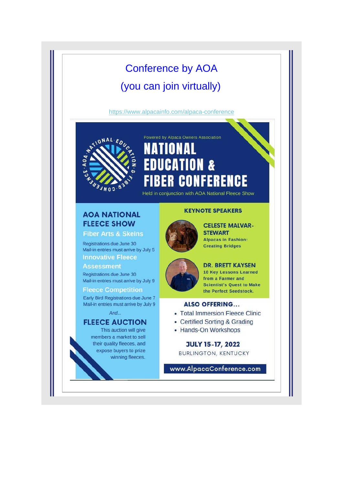# Conference by AOA (you can join virtually)

[https://www.alpacainfo.com/alpaca-conference](http://)

Powered by Alpaca Owners Association



## TIONAI **UCATION &** ED **CONFERENCE** BER

Held in conjunction with AOA National Fleece Show

## **AOA NATIONAL FLEECE SHOW**

**Fiber Arts & Skeins** 

Registrations due June 30 Mail-in entries must arrive by July 5 **Innovative Fleece** 

**Assessment** 

Registrations due June 30 Mail-in entries must arrive by July 9

**Fleece Competition** 

Early Bird Registrations due June 7 Mail-in entries must arrive by July 9

And...

### **FLEECE AUCTION**

This auction will give members a market to sell their quality fleeces, and expose buyers to prize winning fleeces.

### **KEYNOTE SPEAKERS**



**CELESTE MALVAR-STEWART Alpacas in Fashion: Creating Bridges** 



**DR. BRETT KAYSEN** 10 Key Lessons Learned from a Farmer and **Scientist's Quest to Make** the Perfect Seedstock.

### **ALSO OFFERING...**

- Total Immersion Fleece Clinic
- Certified Sorting & Grading
- Hands-On Workshops

**JULY 15-17, 2022 BURLINGTON, KENTUCKY** 

www.AlpacaConference.com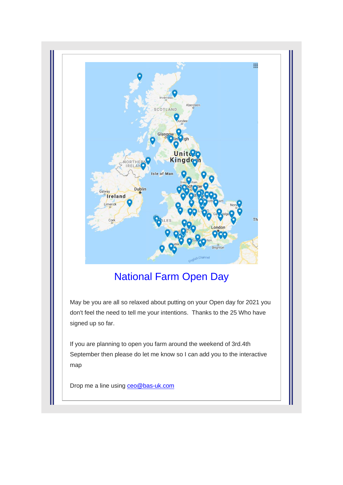

# National Farm Open Day

May be you are all so relaxed about putting on your Open day for 2021 you don't feel the need to tell me your intentions. Thanks to the 25 Who have signed up so far.

If you are planning to open you farm around the weekend of 3rd.4th September then please do let me know so I can add you to the interactive map

Drop me a line using **ceo@bas-uk.com**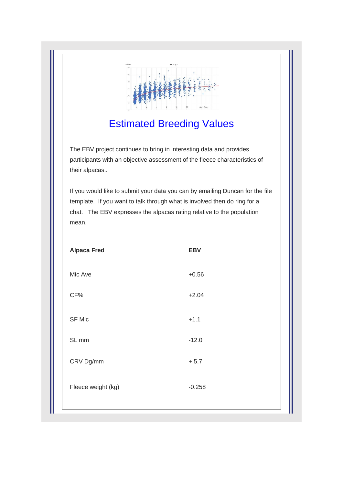

# Estimated Breeding Values

The EBV project continues to bring in interesting data and provides participants with an objective assessment of the fleece characteristics of their alpacas..

If you would like to submit your data you can by emailing Duncan for the file template. If you want to talk through what is involved then do ring for a chat. The EBV expresses the alpacas rating relative to the population mean.

| <b>Alpaca Fred</b> | <b>EBV</b> |  |
|--------------------|------------|--|
| Mic Ave            | $+0.56$    |  |
| CF%                | $+2.04$    |  |
| SF Mic             | $+1.1$     |  |
| SL <sub>mm</sub>   | $-12.0$    |  |
| CRV Dg/mm          | $+ 5.7$    |  |
| Fleece weight (kg) | $-0.258$   |  |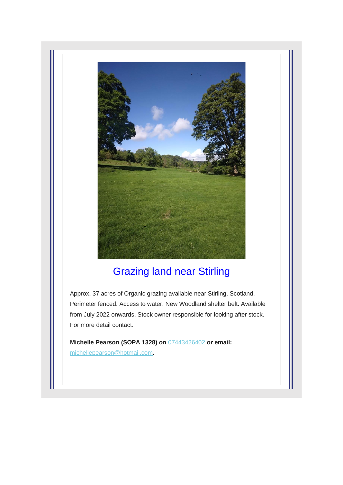

# Grazing land near Stirling

Approx. 37 acres of Organic grazing available near Stirling, Scotland. Perimeter fenced. Access to water. New Woodland shelter belt. Available from July 2022 onwards. Stock owner responsible for looking after stock. For more detail contact:

**Michelle Pearson (SOPA 1328) on** [07443426402](tel:07443426402) **or email:** [michellepearson@hotmail.com](mailto:michellepearson@hotmail.com)**.**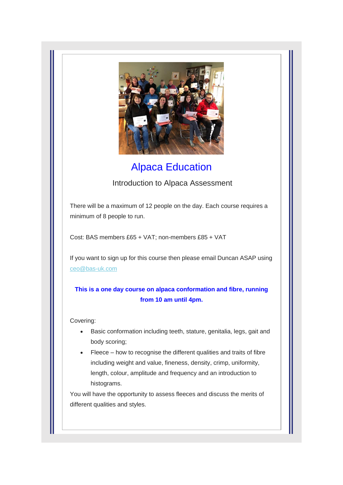

# Alpaca Education

## Introduction to Alpaca Assessment

There will be a maximum of 12 people on the day. Each course requires a minimum of 8 people to run.

Cost: BAS members £65 + VAT; non-members £85 + VAT

If you want to sign up for this course then please email Duncan ASAP using [ceo@bas-uk.com](mailto:)

### **This is a one day course on alpaca conformation and fibre, running from 10 am until 4pm.**

### Covering:

- Basic conformation including teeth, stature, genitalia, legs, gait and body scoring;
- Fleece how to recognise the different qualities and traits of fibre including weight and value, fineness, density, crimp, uniformity, length, colour, amplitude and frequency and an introduction to histograms.

You will have the opportunity to assess fleeces and discuss the merits of different qualities and styles.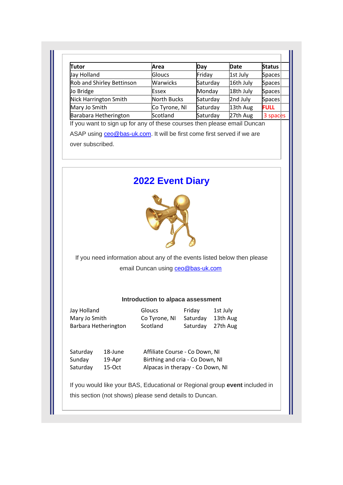| <b>Tutor</b>              | Area               | Day      | Date      | <b>Status</b> |
|---------------------------|--------------------|----------|-----------|---------------|
| Jay Holland               | Gloucs             | Friday   | 1st July  | <b>Spaces</b> |
| Rob and Shirley Bettinson | <b>Warwicks</b>    | Saturday | 16th July | Spaces        |
| Jo Bridge                 | Essex              | Monday   | 18th July | <b>Spaces</b> |
| Nick Harrington Smith     | <b>North Bucks</b> | Saturday | 2nd July  | <b>Spaces</b> |
| Mary Jo Smith             | Co Tyrone, NI      | Saturday | 13th Aug  | <b>FULL</b>   |
| Barabara Hetherington     | Scotland           | Saturday | 27th Aug  | 3 spaces      |

If you want to sign up for any of these courses then please email Duncan

ASAP using [ceo@bas-uk.com.](mailto:ceo@bas-uk.com) It will be first come first served if we are over subscribed.

# **2022 Event Diary**



If you need information about any of the events listed below then please email Duncan using [ceo@bas-uk.com](mailto:ceo@bas-uk.com)

### **Introduction to alpaca assessment**

Jay Holland Gloucs Friday 1st July Mary Jo Smith Co Tyrone, NI Saturday 13th Aug Barbara Hetherington Scotland Saturday 27th Aug

Saturday 18-June Affiliate Course - Co Down, NI Sunday 19-Apr Birthing and cria - Co Down, NI Saturday 15-Oct Alpacas in therapy - Co Down, NI

If you would like your BAS, Educational or Regional group **event** included in this section (not shows) please send details to Duncan.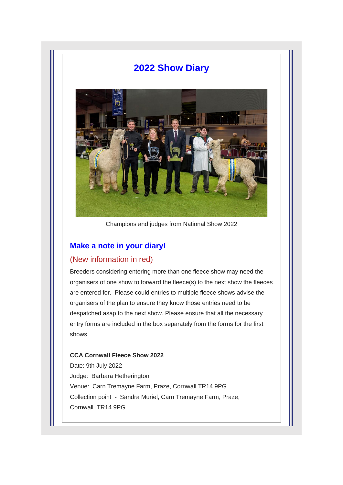## **2022 Show Diary**



Champions and judges from National Show 2022

## **Make a note in your diary!**

### (New information in red)

Breeders considering entering more than one fleece show may need the organisers of one show to forward the fleece(s) to the next show the fleeces are entered for. Please could entries to multiple fleece shows advise the organisers of the plan to ensure they know those entries need to be despatched asap to the next show. Please ensure that all the necessary entry forms are included in the box separately from the forms for the first shows.

### **CCA Cornwall Fleece Show 2022**

Date: 9th July 2022 Judge: Barbara Hetherington Venue: Carn Tremayne Farm, Praze, Cornwall TR14 9PG. Collection point - Sandra Muriel, Carn Tremayne Farm, Praze, Cornwall TR14 9PG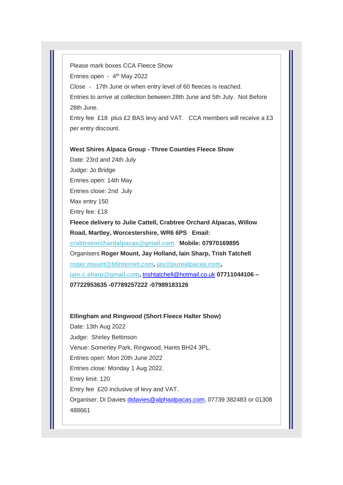Please mark boxes CCA Fleece Show Entries open - 4<sup>th</sup> May 2022 Close - 17th June or when entry level of 60 fleeces is reached. Entries to arrive at collection between 28th June and 5th July. Not Before 28th June. Entry fee £18 plus £2 BAS levy and VAT. CCA members will receive a £3

per entry discount.

**West Shires Alpaca Group - Three Counties Fleece Show**

Date: 23rd and 24th July Judge: Jo Bridge Entries open: 14th May Entries close: 2nd July Max entry 150 Entry fee: £18 **Fleece delivery to Julie Cattell, Crabtree Orchard Alpacas, Willow Road, Martley, Worcestershire, WR6 6PS Email: [crabtreeorchardalpacas@gmail.com](mailto:crabtreeorchardalpacas@gmail.com) Mobile: 07970169895** Organisers **Roger Mount, Jay Holland, Iain Sharp, Trish Tatchell [roger.mount@btinternet.com,](mailto:roger.mount@btinternet.com) [jay@purealpacas.com,](mailto:jay@purealpacas.com) [iain.c.sharp@gmail.com,](mailto:iain.c.sharp@gmail.com)** [trishtatchell@hotmail.co.uk](mailto:trishtatchell@hotmail.co.uk) **07711044106 – 07722953635 -07789257222 -07989183126**

### **Ellingham and Ringwood (Short Fleece Halter Show)**

Date: 13th Aug 2022 Judge: Shirley Bettinson Venue: Somerley Park, Ringwood, Hants BH24 3PL. Entries open: Mon 20th June 2022 Entries close: Monday 1 Aug 2022. Entry limit: 120 Entry fee £20 inclusive of levy and VAT. Organiser: Di Davies [didavies@alphaalpacas.com,](mailto:didavies@alphaalpacas.com) 07739 382483 or 01308 488661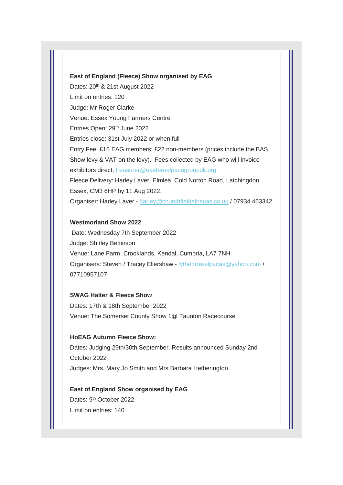#### **East of England (Fleece) Show organised by EAG**

Dates: 20<sup>th</sup> & 21st August 2022 Limit on entries: 120 Judge: Mr Roger Clarke Venue: Essex Young Farmers Centre Entries Open: 29<sup>th</sup> June 2022 Entries close: 31st July 2022 or when full Entry Fee: £16 EAG members: £22 non-members (prices include the BAS Show levy & VAT on the levy). Fees collected by EAG who will invoice exhibitors direct, [treasurer@easternalpacagroupuk.org](mailto:admin@merrifield-alpacas.com) Fleece Delivery: Harley Laver, Elmlea, Cold Norton Road, Latchingdon, Essex, CM3 6HP by 11 Aug 2022. Organiser: Harley Laver - [harley@churchfieldalpacas.co.uk](mailto:harley@churchfieldalpacas.co.uk) / 07934 463342

### **Westmorland Show 2022**

Date: Wednesday 7th September 2022 Judge: Shirley Bettinson Venue: Lane Farm, Crooklands, Kendal, Cumbria, LA7 7NH Organisers: Steven / Tracey Ellershaw - [lythebrowalpacas@yahoo.com](mailto:lythebrowalpacas@yahoo.com) / 07710957107

### **SWAG Halter & Fleece Show**

Dates: 17th & 18th September 2022 Venue: The Somerset County Show 1@ Taunton Racecourse

### **HoEAG Autumn Fleece Show:**

Dates: Judging 29th/30th September. Results announced Sunday 2nd October 2022 Judges: Mrs. Mary Jo Smith and Mrs Barbara Hetherington

## **East of England Show organised by EAG** Dates: 9<sup>th</sup> October 2022 Limit on entries: 140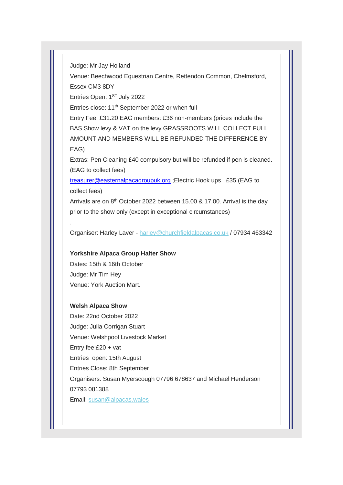Judge: Mr Jay Holland

Venue: Beechwood Equestrian Centre, Rettendon Common, Chelmsford, Essex CM3 8DY

Entries Open: 1ST July 2022

Entries close: 11<sup>th</sup> September 2022 or when full

Entry Fee: £31.20 EAG members: £36 non-members (prices include the BAS Show levy & VAT on the levy GRASSROOTS WILL COLLECT FULL AMOUNT AND MEMBERS WILL BE REFUNDED THE DIFFERENCE BY EAG)

Extras: Pen Cleaning £40 compulsory but will be refunded if pen is cleaned. (EAG to collect fees)

[treasurer@easternalpacagroupuk.org](mailto:treasurer@easternalpacagroupuk.org) ;Electric Hook ups £35 (EAG to collect fees)

Arrivals are on  $8<sup>th</sup>$  October 2022 between 15.00 & 17.00. Arrival is the day prior to the show only (except in exceptional circumstances)

Organiser: Harley Laver - [harley@churchfieldalpacas.co.uk](mailto:harley@churchfieldalpacas.co.uk) / 07934 463342

### **Yorkshire Alpaca Group Halter Show**

Dates: 15th & 16th October Judge: Mr Tim Hey Venue: York Auction Mart.

#### **Welsh Alpaca Show**

.

Date: 22nd October 2022 Judge: Julia Corrigan Stuart Venue: Welshpool Livestock Market Entry fee:£20 + vat Entries open: 15th August Entries Close: 8th September Organisers: Susan Myerscough 07796 678637 and Michael Henderson 07793 081388 Email: [susan@alpacas.wales](mailto:susan@alpacas.wales)